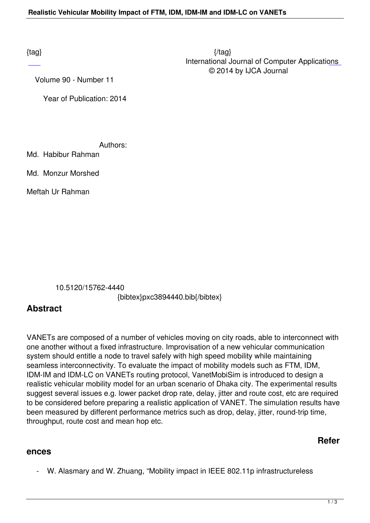$\{tag\}$  International Journal of Computer Applications © 2014 by IJCA Journal

Volume 90 - Number 11

Year of Publication: 2014

Authors:

Md. Habibur Rahman

Md. Monzur Morshed

Meftah Ur Rahman

10.5120/15762-4440

{bibtex}pxc3894440.bib{/bibtex}

## **Abstract**

VANETs are composed of a number of vehicles moving on city roads, able to interconnect with one another without a fixed infrastructure. Improvisation of a new vehicular communication system should entitle a node to travel safely with high speed mobility while maintaining seamless interconnectivity. To evaluate the impact of mobility models such as FTM, IDM, IDM-IM and IDM-LC on VANETs routing protocol, VanetMobiSim is introduced to design a realistic vehicular mobility model for an urban scenario of Dhaka city. The experimental results suggest several issues e.g. lower packet drop rate, delay, jitter and route cost, etc are required to be considered before preparing a realistic application of VANET. The simulation results have been measured by different performance metrics such as drop, delay, jitter, round-trip time, throughput, route cost and mean hop etc.

## **Refer**

## **ences**

- W. Alasmary and W. Zhuang, "Mobility impact in IEEE 802.11p infrastructureless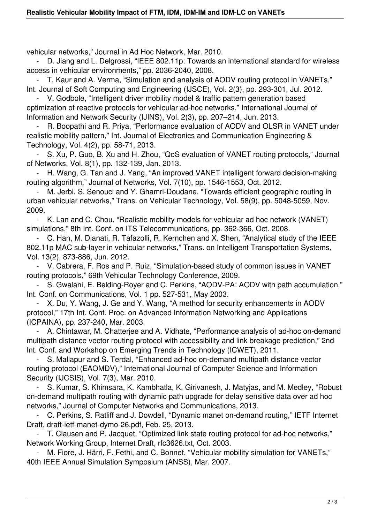vehicular networks," Journal in Ad Hoc Network, Mar. 2010.

D. Jiang and L. Delgrossi, "IEEE 802.11p: Towards an international standard for wireless access in vehicular environments," pp. 2036-2040, 2008.

 - T. Kaur and A. Verma, "Simulation and analysis of AODV routing protocol in VANETs," Int. Journal of Soft Computing and Engineering (IJSCE), Vol. 2(3), pp. 293-301, Jul. 2012.

 - V. Godbole, "Intelligent driver mobility model & traffic pattern generation based optimization of reactive protocols for vehicular ad-hoc networks," International Journal of Information and Network Security (IJINS), Vol. 2(3), pp. 207–214, Jun. 2013.

R. Boopathi and R. Priya, "Performance evaluation of AODV and OLSR in VANET under realistic mobility pattern," Int. Journal of Electronics and Communication Engineering & Technology, Vol. 4(2), pp. 58-71, 2013.

 - S. Xu, P. Guo, B. Xu and H. Zhou, "QoS evaluation of VANET routing protocols," Journal of Networks, Vol. 8(1), pp. 132-139, Jan. 2013.

H. Wang, G. Tan and J. Yang, "An improved VANET intelligent forward decision-making routing algorithm," Journal of Networks, Vol. 7(10), pp. 1546-1553, Oct. 2012.

M. Jerbi, S. Senouci and Y. Ghamri-Doudane, "Towards efficient geographic routing in urban vehicular networks," Trans. on Vehicular Technology, Vol. 58(9), pp. 5048-5059, Nov. 2009.

 - K. Lan and C. Chou, "Realistic mobility models for vehicular ad hoc network (VANET) simulations," 8th Int. Conf. on ITS Telecommunications, pp. 362-366, Oct. 2008.

 - C. Han, M. Dianati, R. Tafazolli, R. Kernchen and X. Shen, "Analytical study of the IEEE 802.11p MAC sub-layer in vehicular networks," Trans. on Intelligent Transportation Systems, Vol. 13(2), 873-886, Jun. 2012.

 - V. Cabrera, F. Ros and P. Ruiz, "Simulation-based study of common issues in VANET routing protocols," 69th Vehicular Technology Conference, 2009.

S. Gwalani, E. Belding-Royer and C. Perkins, "AODV-PA: AODV with path accumulation," Int. Conf. on Communications, Vol. 1 pp. 527-531, May 2003.

 - X. Du, Y. Wang, J. Ge and Y. Wang, "A method for security enhancements in AODV protocol," 17th Int. Conf. Proc. on Advanced Information Networking and Applications (ICPAINA), pp. 237-240, Mar. 2003.

A. Chintawar, M. Chatterjee and A. Vidhate, "Performance analysis of ad-hoc on-demand multipath distance vector routing protocol with accessibility and link breakage prediction," 2nd Int. Conf. and Workshop on Emerging Trends in Technology (ICWET), 2011.

 - S. Mallapur and S. Terdal, "Enhanced ad-hoc on-demand multipath distance vector routing protocol (EAOMDV)," International Journal of Computer Science and Information Security (IJCSIS), Vol. 7(3), Mar. 2010.

 - S. Kumar, S. Khimsara, K. Kambhatla, K. Girivanesh, J. Matyjas, and M. Medley, "Robust on-demand multipath routing with dynamic path upgrade for delay sensitive data over ad hoc networks," Journal of Computer Networks and Communications, 2013.

 - C. Perkins, S. Ratliff and J. Dowdell, "Dynamic manet on-demand routing," IETF Internet Draft, draft-ietf-manet-dymo-26.pdf, Feb. 25, 2013.

 - T. Clausen and P. Jacquet, "Optimized link state routing protocol for ad-hoc networks," Network Working Group, Internet Draft, rfc3626.txt, Oct. 2003.

M. Fiore, J. Härri, F. Fethi, and C. Bonnet, "Vehicular mobility simulation for VANETs." 40th IEEE Annual Simulation Symposium (ANSS), Mar. 2007.